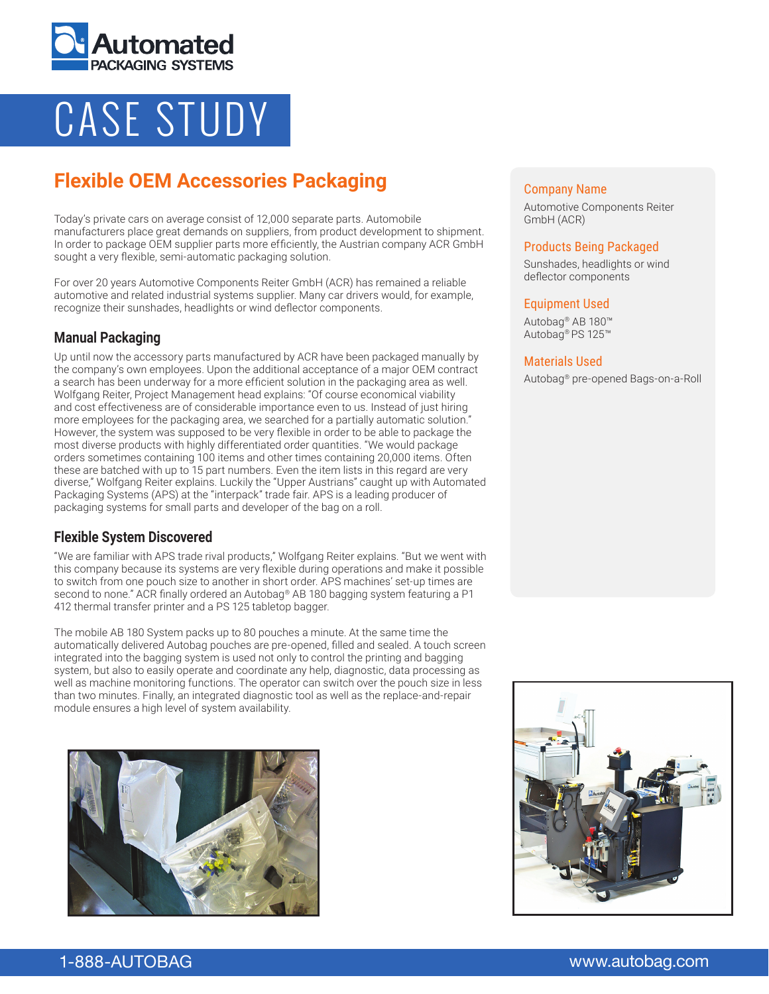

# CASE STUDY

# **Flexible OEM Accessories Packaging**

Today's private cars on average consist of 12,000 separate parts. Automobile manufacturers place great demands on suppliers, from product development to shipment. In order to package OEM supplier parts more efficiently, the Austrian company ACR GmbH sought a very flexible, semi-automatic packaging solution.

For over 20 years Automotive Components Reiter GmbH (ACR) has remained a reliable automotive and related industrial systems supplier. Many car drivers would, for example, recognize their sunshades, headlights or wind deflector components.

# **Manual Packaging**

Up until now the accessory parts manufactured by ACR have been packaged manually by the company's own employees. Upon the additional acceptance of a major OEM contract a search has been underway for a more efficient solution in the packaging area as well. Wolfgang Reiter, Project Management head explains: "Of course economical viability and cost effectiveness are of considerable importance even to us. Instead of just hiring more employees for the packaging area, we searched for a partially automatic solution." However, the system was supposed to be very flexible in order to be able to package the most diverse products with highly differentiated order quantities. "We would package orders sometimes containing 100 items and other times containing 20,000 items. Often these are batched with up to 15 part numbers. Even the item lists in this regard are very diverse," Wolfgang Reiter explains. Luckily the "Upper Austrians" caught up with Automated Packaging Systems (APS) at the "interpack" trade fair. APS is a leading producer of packaging systems for small parts and developer of the bag on a roll.

# **Flexible System Discovered**

"We are familiar with APS trade rival products," Wolfgang Reiter explains. "But we went with this company because its systems are very flexible during operations and make it possible to switch from one pouch size to another in short order. APS machines' set-up times are second to none." ACR finally ordered an Autobag® AB 180 bagging system featuring a P1 412 thermal transfer printer and a PS 125 tabletop bagger.

The mobile AB 180 System packs up to 80 pouches a minute. At the same time the automatically delivered Autobag pouches are pre-opened, filled and sealed. A touch screen integrated into the bagging system is used not only to control the printing and bagging system, but also to easily operate and coordinate any help, diagnostic, data processing as well as machine monitoring functions. The operator can switch over the pouch size in less than two minutes. Finally, an integrated diagnostic tool as well as the replace-and-repair module ensures a high level of system availability.



#### Company Name

Automotive Components Reiter GmbH (ACR)

#### Products Being Packaged

Sunshades, headlights or wind deflector components

#### Equipment Used

Autobag® AB 180™ Autobag® PS 125™

#### Materials Used

Autobag® pre-opened Bags-on-a-Roll